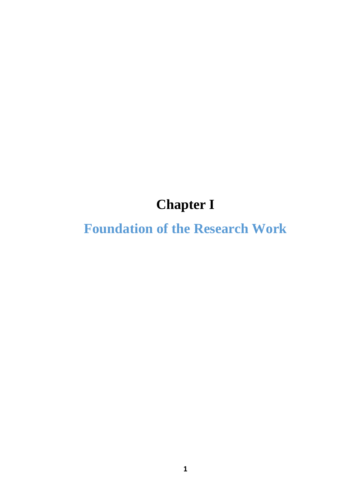# **Chapter I**

# **Foundation of the Research Work**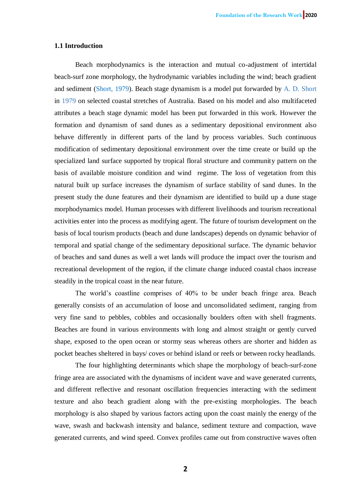## **1.1 Introduction**

Beach morphodynamics is the interaction and mutual co-adjustment of intertidal beach-surf zone morphology, the hydrodynamic variables including the wind; beach gradient and sediment (Short, 1979). Beach stage dynamism is a model put forwarded by A. D. Short in 1979 on selected coastal stretches of Australia. Based on his model and also multifaceted attributes a beach stage dynamic model has been put forwarded in this work. However the formation and dynamism of sand dunes as a sedimentary depositional environment also behave differently in different parts of the land by process variables. Such continuous modification of sedimentary depositional environment over the time create or build up the specialized land surface supported by tropical floral structure and community pattern on the basis of available moisture condition and wind regime. The loss of vegetation from this natural built up surface increases the dynamism of surface stability of sand dunes. In the present study the dune features and their dynamism are identified to build up a dune stage morphodynamics model. Human processes with different livelihoods and tourism recreational activities enter into the process as modifying agent. The future of tourism development on the basis of local tourism products (beach and dune landscapes) depends on dynamic behavior of temporal and spatial change of the sedimentary depositional surface. The dynamic behavior of beaches and sand dunes as well a wet lands will produce the impact over the tourism and recreational development of the region, if the climate change induced coastal chaos increase steadily in the tropical coast in the near future.

The world's coastline comprises of 40% to be under beach fringe area. Beach generally consists of an accumulation of loose and unconsolidated sediment, ranging from very fine sand to pebbles, cobbles and occasionally boulders often with shell fragments. Beaches are found in various environments with long and almost straight or gently curved shape, exposed to the open ocean or stormy seas whereas others are shorter and hidden as pocket beaches sheltered in bays/ coves or behind island or reefs or between rocky headlands.

The four highlighting determinants which shape the morphology of beach-surf-zone fringe area are associated with the dynamisms of incident wave and wave generated currents, and different reflective and resonant oscillation frequencies interacting with the sediment texture and also beach gradient along with the pre-existing morphologies. The beach morphology is also shaped by various factors acting upon the coast mainly the energy of the wave, swash and backwash intensity and balance, sediment texture and compaction, wave generated currents, and wind speed. Convex profiles came out from constructive waves often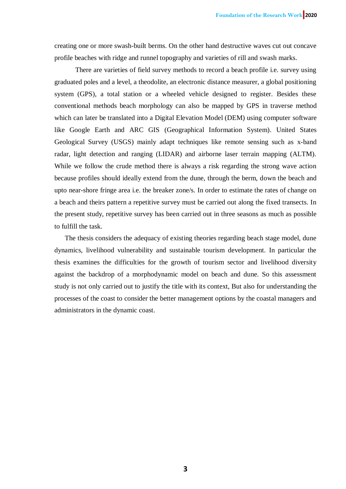creating one or more swash-built berms. On the other hand destructive waves cut out concave profile beaches with ridge and runnel topography and varieties of rill and swash marks.

There are varieties of field survey methods to record a beach profile i.e. survey using graduated poles and a level, a theodolite, an electronic distance measurer, a global positioning system (GPS), a total station or a wheeled vehicle designed to register. Besides these conventional methods beach morphology can also be mapped by GPS in traverse method which can later be translated into a Digital Elevation Model (DEM) using computer software like Google Earth and ARC GIS (Geographical Information System). United States Geological Survey (USGS) mainly adapt techniques like remote sensing such as x-band radar, light detection and ranging (LIDAR) and airborne laser terrain mapping (ALTM). While we follow the crude method there is always a risk regarding the strong wave action because profiles should ideally extend from the dune, through the berm, down the beach and upto near-shore fringe area i.e. the breaker zone/s. In order to estimate the rates of change on a beach and theirs pattern a repetitive survey must be carried out along the fixed transects. In the present study, repetitive survey has been carried out in three seasons as much as possible to fulfill the task.

The thesis considers the adequacy of existing theories regarding beach stage model, dune dynamics, livelihood vulnerability and sustainable tourism development. In particular the thesis examines the difficulties for the growth of tourism sector and livelihood diversity against the backdrop of a morphodynamic model on beach and dune. So this assessment study is not only carried out to justify the title with its context, But also for understanding the processes of the coast to consider the better management options by the coastal managers and administrators in the dynamic coast.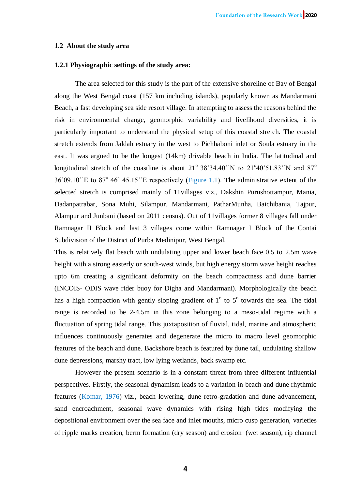## **1.2 About the study area**

#### **1.2.1 Physiographic settings of the study area:**

The area selected for this study is the part of the extensive shoreline of Bay of Bengal along the West Bengal coast (157 km including islands), popularly known as Mandarmani Beach, a fast developing sea side resort village. In attempting to assess the reasons behind the risk in environmental change, geomorphic variability and livelihood diversities, it is particularly important to understand the physical setup of this coastal stretch. The coastal stretch extends from Jaldah estuary in the west to Pichhaboni inlet or Soula estuary in the east. It was argued to be the longest (14km) drivable beach in India. The latitudinal and longitudinal stretch of the coastline is about  $21^{\circ}$  38'34.40"N to  $21^{\circ}$ 40'51.83"N and 87<sup>o</sup>  $36'09.10''$ E to  $87^{\circ}$  46' 45.15" E respectively (Figure 1.1). The administrative extent of the selected stretch is comprised mainly of 11villages viz., Dakshin Purushottampur, Mania, Dadanpatrabar, Sona Muhi, Silampur, Mandarmani, PatharMunha, Baichibania, Tajpur, Alampur and Junbani (based on 2011 census). Out of 11villages former 8 villages fall under Ramnagar II Block and last 3 villages come within Ramnagar I Block of the Contai Subdivision of the District of Purba Medinipur, West Bengal.

This is relatively flat beach with undulating upper and lower beach face 0.5 to 2.5m wave height with a strong easterly or south-west winds, but high energy storm wave height reaches upto 6m creating a significant deformity on the beach compactness and dune barrier (INCOIS- ODIS wave rider buoy for Digha and Mandarmani). Morphologically the beach has a high compaction with gently sloping gradient of  $1^\circ$  to  $5^\circ$  towards the sea. The tidal range is recorded to be 2-4.5m in this zone belonging to a meso-tidal regime with a fluctuation of spring tidal range. This juxtaposition of fluvial, tidal, marine and atmospheric influences continuously generates and degenerate the micro to macro level geomorphic features of the beach and dune. Backshore beach is featured by dune tail, undulating shallow dune depressions, marshy tract, low lying wetlands, back swamp etc.

However the present scenario is in a constant threat from three different influential perspectives. Firstly, the seasonal dynamism leads to a variation in beach and dune rhythmic features (Komar, 1976) viz., beach lowering, dune retro-gradation and dune advancement, sand encroachment, seasonal wave dynamics with rising high tides modifying the depositional environment over the sea face and inlet mouths, micro cusp generation, varieties of ripple marks creation, berm formation (dry season) and erosion (wet season), rip channel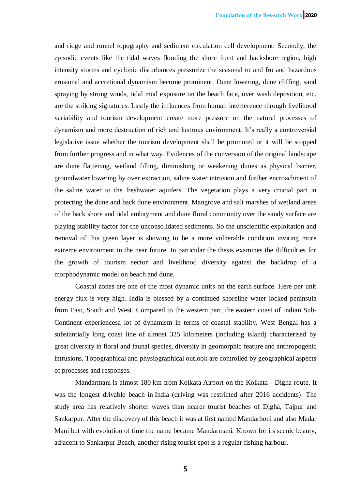and ridge and runnel topography and sediment circulation cell development. Secondly, the episodic events like the tidal waves flooding the shore front and backshore region, high intensity storms and cyclonic disturbances pressurize the seasonal to and fro and hazardous erosional and accretional dynamism become prominent. Dune lowering, dune cliffing, sand spraying by strong winds, tidal mud exposure on the beach face, over wash deposition, etc. are the striking signatures. Lastly the influences from human interference through livelihood variability and tourism development create more pressure on the natural processes of dynamism and more destruction of rich and lustrous environment. It's really a controversial legislative issue whether the tourism development shall be promoted or it will be stopped from further progress and in what way. Evidences of the conversion of the original landscape are dune flattening, wetland filling, diminishing or weakening dunes as physical barrier, groundwater lowering by over extraction, saline water intrusion and further encroachment of the saline water to the freshwater aquifers. The vegetation plays a very crucial part in protecting the dune and back dune environment. Mangrove and salt marshes of wetland areas of the back shore and tidal embayment and dune floral community over the sandy surface are playing stability factor for the unconsolidated sediments. So the unscientific exploitation and removal of this green layer is showing to be a more vulnerable condition inviting more extreme environment in the near future. In particular the thesis examines the difficulties for the growth of tourism sector and livelihood diversity against the backdrop of a morphodynamic model on beach and dune.

Coastal zones are one of the most dynamic units on the earth surface. Here per unit energy flux is very high. India is blessed by a continued shoreline water locked peninsula from East, South and West. Compared to the western part, the eastern coast of Indian Sub-Continent experiencesa lot of dynamism in terms of coastal stability. West Bengal has a substantially long coast line of almost 325 kilometers (including island) characterised by great diversity in floral and faunal species, diversity in geomorphic feature and anthropogenic intrusions. Topographical and physiographical outlook are controlled by geographical aspects of processes and responses.

Mandarmani is almost 180 km from Kolkata Airport on the Kolkata - Digha route. It was the longest drivable beach in India (driving was restricted after 2016 accidents). The study area has relatively shorter waves than nearer tourist beaches of Digha, Tajpur and Sankarpur. After the discovery of this beach it was at first named Mandarboni and also Madar Mani but with evolution of time the name became Mandarmani. Known for its scenic beauty, adjacent to Sankarpur Beach, another rising tourist spot is a regular fishing harbour.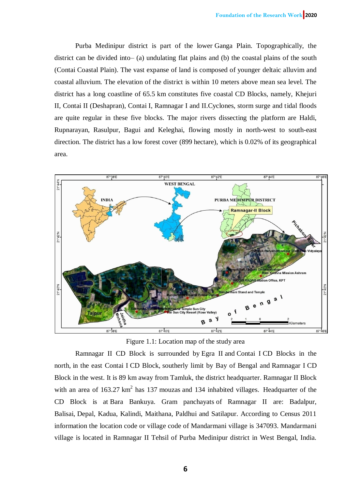Purba Medinipur district is part of the lower Ganga Plain. Topographically, the district can be divided into– (a) undulating flat plains and (b) the coastal plains of the south (Contai Coastal Plain). The vast expanse of land is composed of younger deltaic alluvim and coastal alluvium. The elevation of the district is within 10 meters above mean sea level. The district has a long coastline of 65.5 km constitutes five coastal CD Blocks, namely, Khejuri II, Contai II (Deshapran), Contai I, Ramnagar I and II.Cyclones, storm surge and tidal floods are quite regular in these five blocks. The major rivers dissecting the platform are Haldi, Rupnarayan, Rasulpur, Bagui and Keleghai, flowing mostly in north-west to south-east direction. The district has a low forest cover (899 hectare), which is 0.02% of its geographical area.



Figure 1.1: Location map of the study area

Ramnagar II CD Block is surrounded by Egra II and Contai I CD Blocks in the north, in the east Contai I CD Block, southerly limit by Bay of Bengal and Ramnagar I CD Block in the west. It is 89 km away from Tamluk, the district headquarter. Ramnagar II Block with an area of  $163.27 \text{ km}^2$  has 137 mouzas and 134 inhabited villages. Headquarter of the CD Block is at Bara Bankuya. Gram panchayats of Ramnagar II are: Badalpur, Balisai, Depal, Kadua, Kalindi, Maithana, Paldhui and Satilapur. According to Census 2011 information the location code or village code of Mandarmani village is 347093. Mandarmani village is located in Ramnagar II Tehsil of Purba Medinipur district in West Bengal, India.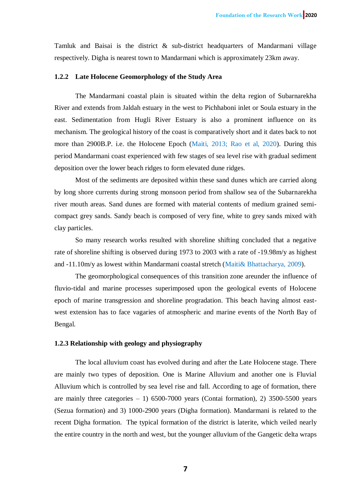Tamluk and Baisai is the district & sub-district headquarters of Mandarmani village respectively. Digha is nearest town to Mandarmani which is approximately 23km away.

### **1.2.2 Late Holocene Geomorphology of the Study Area**

The Mandarmani coastal plain is situated within the delta region of Subarnarekha River and extends from Jaldah estuary in the west to Pichhaboni inlet or Soula estuary in the east. Sedimentation from Hugli River Estuary is also a prominent influence on its mechanism. The geological history of the coast is comparatively short and it dates back to not more than 2900B.P. i.e. the Holocene Epoch (Maiti, 2013; Rao et al, 2020). During this period Mandarmani coast experienced with few stages of sea level rise with gradual sediment deposition over the lower beach ridges to form elevated dune ridges.

Most of the sediments are deposited within these sand dunes which are carried along by long shore currents during strong monsoon period from shallow sea of the Subarnarekha river mouth areas. Sand dunes are formed with material contents of medium grained semicompact grey sands. Sandy beach is composed of very fine, white to grey sands mixed with clay particles.

So many research works resulted with shoreline shifting concluded that a negative rate of shoreline shifting is observed during 1973 to 2003 with a rate of -19.98m/y as highest and -11.10m/y as lowest within Mandarmani coastal stretch (Maiti& Bhattacharya, 2009).

The geomorphological consequences of this transition zone areunder the influence of fluvio-tidal and marine processes superimposed upon the geological events of Holocene epoch of marine transgression and shoreline progradation. This beach having almost eastwest extension has to face vagaries of atmospheric and marine events of the North Bay of Bengal.

#### **1.2.3 Relationship with geology and physiography**

The local alluvium coast has evolved during and after the Late Holocene stage. There are mainly two types of deposition. One is Marine Alluvium and another one is Fluvial Alluvium which is controlled by sea level rise and fall. According to age of formation, there are mainly three categories  $-1$ ) 6500-7000 years (Contai formation), 2) 3500-5500 years (Sezua formation) and 3) 1000-2900 years (Digha formation). Mandarmani is related to the recent Digha formation. The typical formation of the district is laterite, which veiled nearly the entire country in the north and west, but the younger alluvium of the Gangetic delta wraps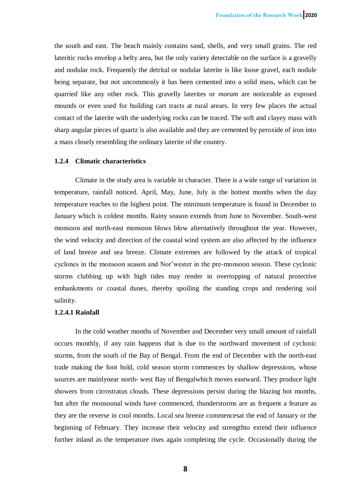the south and east. The beach mainly contains sand, shells, and very small grains. The red lateritic rocks envelop a hefty area, but the only variety detectable on the surface is a gravelly and nodular rock. Frequently the detrital or nodular laterite is like loose gravel, each nodule being separate, but not uncommonly it has been cemented into a solid mass, which can be quarried like any other rock. This gravelly laterites or *moram* are noticeable as exposed mounds or even used for building cart tracts at rural arears. In very few places the actual contact of the laterite with the underlying rocks can be traced. The soft and clayey mass with sharp angular pieces of quartz is also available and they are cemented by peroxide of iron into a mass closely resembling the ordinary laterite of the country.

### **1.2.4 Climatic characteristics**

Climate in the study area is variable in character. There is a wide range of variation in temperature, rainfall noticed. April, May, June, July is the hottest months when the day temperature reaches to the highest point. The minimum temperature is found in December to January which is coldest months. Rainy season extends from June to November. South-west monsoon and north-east monsoon blows blow alternatively throughout the year. However, the wind velocity and direction of the coastal wind system are also affected by the influence of land breeze and sea breeze. Climate extremes are followed by the attack of tropical cyclones in the monsoon season and Nor'wester in the pre-monsoon season. These cyclonic storms clubbing up with high tides may render in overtopping of natural protective embankments or coastal dunes, thereby spoiling the standing crops and rendering soil salinity.

### **1.2.4.1 Rainfall**

In the cold weather months of November and December very small amount of rainfall occurs monthly, if any rain happens that is due to the northward movement of cyclonic storms, from the south of the Bay of Bengal. From the end of December with the north-east trade making the foot hold, cold season storm commences by shallow depressions, whose sources are mainlynear north- west Bay of Bengalwhich moves eastward. They produce light showers from cirrostratus clouds. These depressions persist during the blazing hot months, but after the monsoonal winds have commenced, thunderstorms are as frequent a feature as they are the reverse in cool months. Local sea breeze commencesat the end of January or the beginning of February. They increase their velocity and strengthto extend their influence further inland as the temperature rises again completing the cycle. Occasionally during the

**8**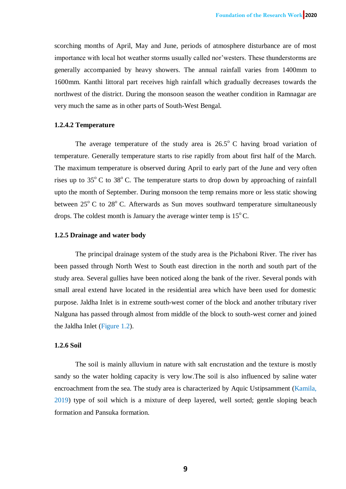scorching months of April, May and June, periods of atmosphere disturbance are of most importance with local hot weather storms usually called nor'westers. These thunderstorms are generally accompanied by heavy showers. The annual rainfall varies from 1400mm to 1600mm. Kanthi littoral part receives high rainfall which gradually decreases towards the northwest of the district. During the monsoon season the weather condition in Ramnagar are very much the same as in other parts of South-West Bengal.

## **1.2.4.2 Temperature**

The average temperature of the study area is  $26.5^{\circ}$  C having broad variation of temperature. Generally temperature starts to rise rapidly from about first half of the March. The maximum temperature is observed during April to early part of the June and very often rises up to  $35^{\circ}$  C to  $38^{\circ}$  C. The temperature starts to drop down by approaching of rainfall upto the month of September. During monsoon the temp remains more or less static showing between  $25^{\circ}$  C to  $28^{\circ}$  C. Afterwards as Sun moves southward temperature simultaneously drops. The coldest month is January the average winter temp is  $15^{\circ}$ C.

## **1.2.5 Drainage and water body**

The principal drainage system of the study area is the Pichaboni River. The river has been passed through North West to South east direction in the north and south part of the study area. Several gullies have been noticed along the bank of the river. Several ponds with small areal extend have located in the residential area which have been used for domestic purpose. Jaldha Inlet is in extreme south-west corner of the block and another tributary river Nalguna has passed through almost from middle of the block to south-west corner and joined the Jaldha Inlet (Figure 1.2).

## **1.2.6 Soil**

The soil is mainly alluvium in nature with salt encrustation and the texture is mostly sandy so the water holding capacity is very low.The soil is also influenced by saline water encroachment from the sea. The study area is characterized by Aquic Ustipsamment (Kamila, 2019) type of soil which is a mixture of deep layered, well sorted; gentle sloping beach formation and Pansuka formation.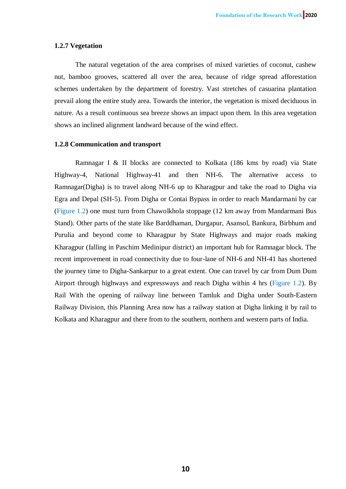### **1.2.7 Vegetation**

The natural vegetation of the area comprises of mixed varieties of coconut, cashew nut, bamboo grooves, scattered all over the area, because of ridge spread afforestation schemes undertaken by the department of forestry. Vast stretches of casuarina plantation prevail along the entire study area. Towards the interior, the vegetation is mixed deciduous in nature. As a result continuous sea breeze shows an impact upon them. In this area vegetation shows an inclined alignment landward because of the wind effect.

# **1.2.8 Communication and transport**

Ramnagar I & II blocks are connected to Kolkata (186 kms by road) via State Highway-4, National Highway-41 and then NH-6. The alternative access to Ramnagar(Digha) is to travel along NH-6 up to Kharagpur and take the road to Digha via Egra and Depal (SH-5). From Digha or Contai Bypass in order to reach Mandarmani by car (Figure 1.2) one must turn from Chawolkhola stoppage (12 km away from Mandarmani Bus Stand). Other parts of the state like Barddhaman, Durgapur, Asansol, Bankura, Birbhum and Purulia and beyond come to Kharagpur by State Highways and major roads making Kharagpur (falling in Paschim Medinipur district) an important hub for Ramnagar block. The recent improvement in road connectivity due to four-lane of NH-6 and NH-41 has shortened the journey time to Digha-Sankarpur to a great extent. One can travel by car from Dum Dum Airport through highways and expressways and reach Digha within 4 hrs (Figure 1.2). By Rail With the opening of railway line between Tamluk and Digha under South-Eastern Railway Division, this Planning Area now has a railway station at Digha linking it by rail to Kolkata and Kharagpur and there from to the southern, northern and western parts of India.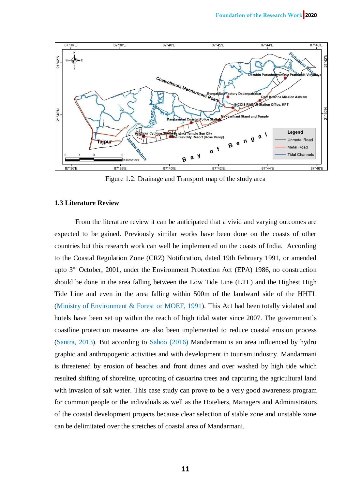

Figure 1.2: Drainage and Transport map of the study area

# **1.3 Literature Review**

From the literature review it can be anticipated that a vivid and varying outcomes are expected to be gained. Previously similar works have been done on the coasts of other countries but this research work can well be implemented on the coasts of India. According to the Coastal Regulation Zone (CRZ) Notification, dated 19th February 1991, or amended upto  $3<sup>rd</sup>$  October, 2001, under the Environment Protection Act (EPA) 1986, no construction should be done in the area falling between the Low Tide Line (LTL) and the Highest High Tide Line and even in the area falling within 500m of the landward side of the HHTL (Ministry of Environment & Forest or MOEF, 1991). This Act had been totally violated and hotels have been set up within the reach of high tidal water since 2007. The government's coastline protection measures are also been implemented to reduce coastal erosion process (Santra, 2013). But according to Sahoo (2016) Mandarmani is an area influenced by hydro graphic and anthropogenic activities and with development in tourism industry. Mandarmani is threatened by erosion of beaches and front dunes and over washed by high tide which resulted shifting of shoreline, uprooting of casuarina trees and capturing the agricultural land with invasion of salt water. This case study can prove to be a very good awareness program for common people or the individuals as well as the Hoteliers, Managers and Administrators of the coastal development projects because clear selection of stable zone and unstable zone can be delimitated over the stretches of coastal area of Mandarmani.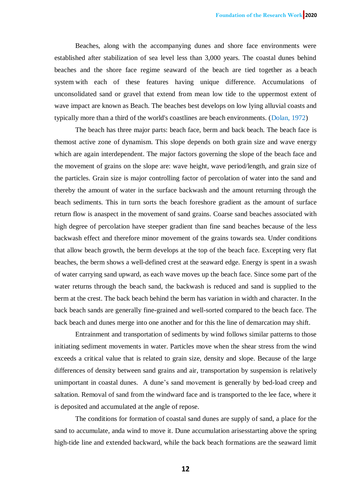Beaches, along with the accompanying dunes and shore face environments were established after stabilization of sea level less than 3,000 years. The coastal dunes behind beaches and the shore face regime seaward of the beach are tied together as a beach system with each of these features having unique difference. Accumulations of unconsolidated sand or gravel that extend from mean low tide to the uppermost extent of wave impact are known as Beach. The beaches best develops on low lying alluvial coasts and typically more than a third of the world's coastlines are beach environments. (Dolan, 1972)

The beach has three major parts: beach face, berm and back beach. The beach face is themost active zone of dynamism. This slope depends on both grain size and wave energy which are again interdependent. The major factors governing the slope of the beach face and the movement of grains on the slope are: wave height, wave period/length, and grain size of the particles. Grain size is major controlling factor of percolation of water into the sand and thereby the amount of water in the surface backwash and the amount returning through the beach sediments. This in turn sorts the beach foreshore gradient as the amount of surface return flow is anaspect in the movement of sand grains. Coarse sand beaches associated with high degree of percolation have steeper gradient than fine sand beaches because of the less backwash effect and therefore minor movement of the grains towards sea. Under conditions that allow beach growth, the berm develops at the top of the beach face. Excepting very flat beaches, the berm shows a well-defined crest at the seaward edge. Energy is spent in a swash of water carrying sand upward, as each wave moves up the beach face. Since some part of the water returns through the beach sand, the backwash is reduced and sand is supplied to the berm at the crest. The back beach behind the berm has variation in width and character. In the back beach sands are generally fine-grained and well-sorted compared to the beach face. The back beach and dunes merge into one another and for this the line of demarcation may shift.

Entrainment and transportation of sediments by wind follows similar patterns to those initiating sediment movements in water. Particles move when the shear stress from the wind exceeds a critical value that is related to grain size, density and slope. Because of the large differences of density between sand grains and air, transportation by suspension is relatively unimportant in coastal dunes. A dune's sand movement is generally by bed-load creep and saltation. Removal of sand from the windward face and is transported to the lee face, where it is deposited and accumulated at the angle of repose.

The conditions for formation of coastal sand dunes are supply of sand, a place for the sand to accumulate, anda wind to move it. Dune accumulation arisesstarting above the spring high-tide line and extended backward, while the back beach formations are the seaward limit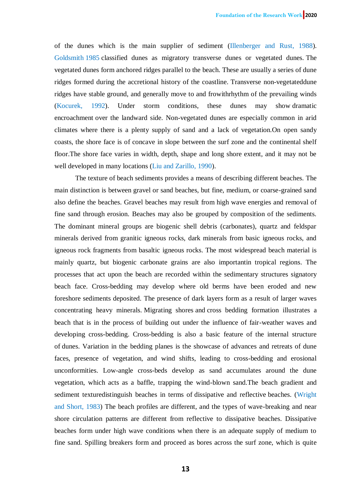of the dunes which is the main supplier of sediment (Illenberger and Rust, 1988). Goldsmith 1985 classified dunes as migratory transverse dunes or vegetated dunes. The vegetated dunes form anchored ridges parallel to the beach. These are usually a series of dune ridges formed during the accretional history of the coastline. Transverse non-vegetateddune ridges have stable ground, and generally move to and frowithrhythm of the prevailing winds (Kocurek, 1992). Under storm conditions, these dunes may show dramatic encroachment over the landward side. Non-vegetated dunes are especially common in arid climates where there is a plenty supply of sand and a lack of vegetation.On open sandy coasts, the shore face is of concave in slope between the surf zone and the continental shelf floor.The shore face varies in width, depth, shape and long shore extent, and it may not be well developed in many locations (Liu and Zarillo, 1990).

The texture of beach sediments provides a means of describing different beaches. The main distinction is between gravel or sand beaches, but fine, medium, or coarse-grained sand also define the beaches. Gravel beaches may result from high wave energies and removal of fine sand through erosion. Beaches may also be grouped by composition of the sediments. The dominant mineral groups are biogenic shell debris (carbonates), quartz and feldspar minerals derived from granitic igneous rocks, dark minerals from basic igneous rocks, and igneous rock fragments from basaltic igneous rocks. The most widespread beach material is mainly quartz, but biogenic carbonate grains are also importantin tropical regions. The processes that act upon the beach are recorded within the sedimentary structures signatory beach face. Cross-bedding may develop where old berms have been eroded and new foreshore sediments deposited. The presence of dark layers form as a result of larger waves concentrating heavy minerals. Migrating shores and cross bedding formation illustrates a beach that is in the process of building out under the influence of fair-weather waves and developing cross-bedding. Cross-bedding is also a basic feature of the internal structure of dunes. Variation in the bedding planes is the showcase of advances and retreats of dune faces, presence of vegetation, and wind shifts, leading to cross-bedding and erosional unconformities. Low-angle cross-beds develop as sand accumulates around the dune vegetation, which acts as a baffle, trapping the wind-blown sand.The beach gradient and sediment texturedistinguish beaches in terms of dissipative and reflective beaches. (Wright and Short, 1983) The beach profiles are different, and the types of wave-breaking and near shore circulation patterns are different from reflective to dissipative beaches. Dissipative beaches form under high wave conditions when there is an adequate supply of medium to fine sand. Spilling breakers form and proceed as bores across the surf zone, which is quite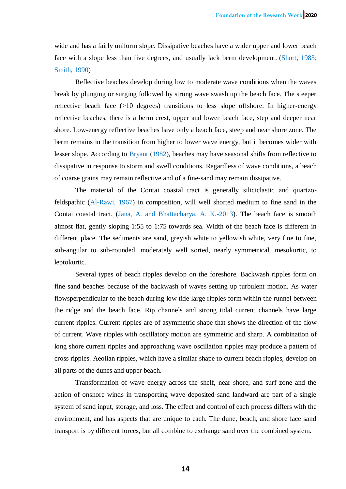wide and has a fairly uniform slope. Dissipative beaches have a wider upper and lower beach face with a slope less than five degrees, and usually lack berm development. (Short, 1983; Smith, 1990)

Reflective beaches develop during low to moderate wave conditions when the waves break by plunging or surging followed by strong wave swash up the beach face. The steeper reflective beach face (>10 degrees) transitions to less slope offshore. In higher-energy reflective beaches, there is a berm crest, upper and lower beach face, step and deeper near shore. Low-energy reflective beaches have only a beach face, steep and near shore zone. The berm remains in the transition from higher to lower wave energy, but it becomes wider with lesser slope. According to Bryant (1982), beaches may have seasonal shifts from reflective to dissipative in response to storm and swell conditions. Regardless of wave conditions, a beach of coarse grains may remain reflective and of a fine-sand may remain dissipative.

The material of the Contai coastal tract is generally siliciclastic and quartzofeldspathic (Al-Rawi, 1967) in composition, will well shorted medium to fine sand in the Contai coastal tract. (Jana, A. and Bhattacharya, A. K.-2013). The beach face is smooth almost flat, gently sloping 1:55 to 1:75 towards sea. Width of the beach face is different in different place. The sediments are sand, greyish white to yellowish white, very fine to fine, sub-angular to sub-rounded, moderately well sorted, nearly symmetrical, mesokurtic, to leptokurtic.

Several types of beach ripples develop on the foreshore. Backwash ripples form on fine sand beaches because of the backwash of waves setting up turbulent motion. As water flowsperpendicular to the beach during low tide large ripples form within the runnel between the ridge and the beach face. Rip channels and strong tidal current channels have large current ripples. Current ripples are of asymmetric shape that shows the direction of the flow of current. Wave ripples with oscillatory motion are symmetric and sharp. A combination of long shore current ripples and approaching wave oscillation ripples may produce a pattern of cross ripples. Aeolian ripples, which have a similar shape to current beach ripples, develop on all parts of the dunes and upper beach.

Transformation of wave energy across the shelf, near shore, and surf zone and the action of onshore winds in transporting wave deposited sand landward are part of a single system of sand input, storage, and loss. The effect and control of each process differs with the environment, and has aspects that are unique to each. The dune, beach, and shore face sand transport is by different forces, but all combine to exchange sand over the combined system.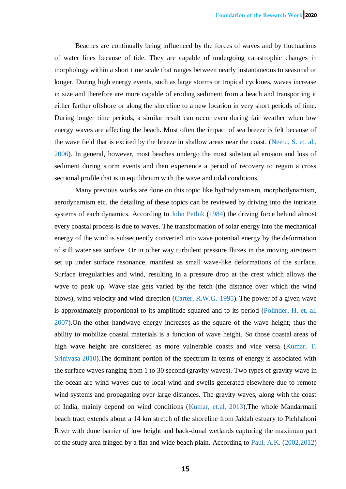Beaches are continually being influenced by the forces of waves and by fluctuations of water lines because of tide. They are capable of undergoing catastrophic changes in morphology within a short time scale that ranges between nearly instantaneous to seasonal or longer. During high energy events, such as large storms or tropical cyclones, waves increase in size and therefore are more capable of eroding sediment from a beach and transporting it either farther offshore or along the shoreline to a new location in very short periods of time. During longer time periods, a similar result can occur even during fair weather when low energy waves are affecting the beach. Most often the impact of sea breeze is felt because of the wave field that is excited by the breeze in shallow areas near the coast. (Neetu, S. et. al., 2006). In general, however, most beaches undergo the most substantial erosion and loss of sediment during storm events and then experience a period of recovery to regain a cross sectional profile that is in equilibrium with the wave and tidal conditions.

Many previous works are done on this topic like hydrodynamism, morphodynamism, aerodynamism etc. the detailing of these topics can be reviewed by driving into the intricate systems of each dynamics. According to John Pethik (1984) the driving force behind almost every coastal process is due to waves. The transformation of solar energy into the mechanical energy of the wind is subsequently converted into wave potential energy by the deformation of still water sea surface. Or in other way turbulent pressure fluxes in the moving airstream set up under surface resonance, manifest as small wave-like deformations of the surface. Surface irregularities and wind, resulting in a pressure drop at the crest which allows the wave to peak up. Wave size gets varied by the fetch (the distance over which the wind blows), wind velocity and wind direction (Carter, R.W.G.-1995). The power of a given wave is approximately proportional to its amplitude squared and to its period (Polinder, H. et. al. 2007).On the other handwave energy increases as the square of the wave height; thus the ability to mobilize coastal materials is a function of wave height. So those coastal areas of high wave height are considered as more vulnerable coasts and vice versa (Kumar, T. Srinivasa 2010).The dominant portion of the spectrum in terms of energy is associated with the surface waves ranging from 1 to 30 second (gravity waves). Two types of gravity wave in the ocean are wind waves due to local wind and swells generated elsewhere due to remote wind systems and propagating over large distances. The gravity waves, along with the coast of India, mainly depend on wind conditions (Kumar, et.al, 2013).The whole Mandarmani beach tract extends about a 14 km stretch of the shoreline from Jaldah estuary to Pichhaboni River with dune barrier of low height and back-dunal wetlands capturing the maximum part of the study area fringed by a flat and wide beach plain. According to Paul, A.K. (2002,2012)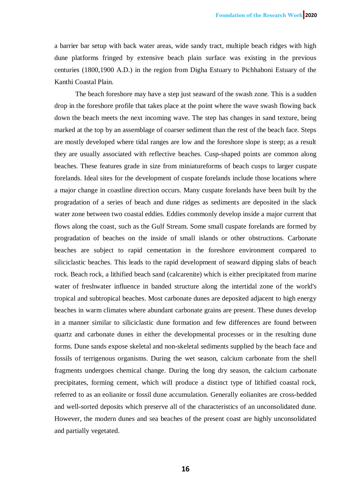a barrier bar setup with back water areas, wide sandy tract, multiple beach ridges with high dune platforms fringed by extensive beach plain surface was existing in the previous centuries (1800,1900 A.D.) in the region from Digha Estuary to Pichhaboni Estuary of the Kanthi Coastal Plain.

The beach foreshore may have a step just seaward of the swash zone. This is a sudden drop in the foreshore profile that takes place at the point where the wave swash flowing back down the beach meets the next incoming wave. The step has changes in sand texture, being marked at the top by an assemblage of coarser sediment than the rest of the beach face. Steps are mostly developed where tidal ranges are low and the foreshore slope is steep; as a result they are usually associated with reflective beaches. Cusp-shaped points are common along beaches. These features grade in size from miniatureforms of beach cusps to larger cuspate forelands. Ideal sites for the development of cuspate forelands include those locations where a major change in coastline direction occurs. Many cuspate forelands have been built by the progradation of a series of beach and dune ridges as sediments are deposited in the slack water zone between two coastal eddies. Eddies commonly develop inside a major current that flows along the coast, such as the Gulf Stream. Some small cuspate forelands are formed by progradation of beaches on the inside of small islands or other obstructions. Carbonate beaches are subject to rapid cementation in the foreshore environment compared to siliciclastic beaches. This leads to the rapid development of seaward dipping slabs of beach rock. Beach rock, a lithified beach sand (calcarenite) which is either precipitated from marine water of freshwater influence in banded structure along the intertidal zone of the world's tropical and subtropical beaches. Most carbonate dunes are deposited adjacent to high energy beaches in warm climates where abundant carbonate grains are present. These dunes develop in a manner similar to siliciclastic dune formation and few differences are found between quartz and carbonate dunes in either the developmental processes or in the resulting dune forms. Dune sands expose skeletal and non-skeletal sediments supplied by the beach face and fossils of terrigenous organisms. During the wet season, calcium carbonate from the shell fragments undergoes chemical change. During the long dry season, the calcium carbonate precipitates, forming cement, which will produce a distinct type of lithified coastal rock, referred to as an eolianite or fossil dune accumulation. Generally eolianites are cross-bedded and well-sorted deposits which preserve all of the characteristics of an unconsolidated dune. However, the modern dunes and sea beaches of the present coast are highly unconsolidated and partially vegetated.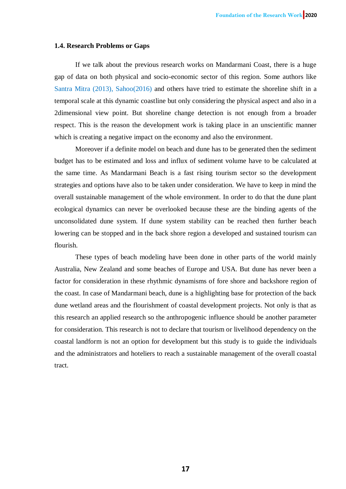#### **1.4. Research Problems or Gaps**

If we talk about the previous research works on Mandarmani Coast, there is a huge gap of data on both physical and socio-economic sector of this region. Some authors like Santra Mitra (2013), Sahoo(2016) and others have tried to estimate the shoreline shift in a temporal scale at this dynamic coastline but only considering the physical aspect and also in a 2dimensional view point. But shoreline change detection is not enough from a broader respect. This is the reason the development work is taking place in an unscientific manner which is creating a negative impact on the economy and also the environment.

Moreover if a definite model on beach and dune has to be generated then the sediment budget has to be estimated and loss and influx of sediment volume have to be calculated at the same time. As Mandarmani Beach is a fast rising tourism sector so the development strategies and options have also to be taken under consideration. We have to keep in mind the overall sustainable management of the whole environment. In order to do that the dune plant ecological dynamics can never be overlooked because these are the binding agents of the unconsolidated dune system. If dune system stability can be reached then further beach lowering can be stopped and in the back shore region a developed and sustained tourism can flourish.

These types of beach modeling have been done in other parts of the world mainly Australia, New Zealand and some beaches of Europe and USA. But dune has never been a factor for consideration in these rhythmic dynamisms of fore shore and backshore region of the coast. In case of Mandarmani beach, dune is a highlighting base for protection of the back dune wetland areas and the flourishment of coastal development projects. Not only is that as this research an applied research so the anthropogenic influence should be another parameter for consideration. This research is not to declare that tourism or livelihood dependency on the coastal landform is not an option for development but this study is to guide the individuals and the administrators and hoteliers to reach a sustainable management of the overall coastal tract.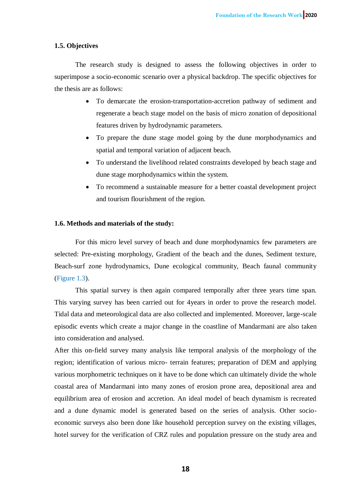# **1.5. Objectives**

The research study is designed to assess the following objectives in order to superimpose a socio-economic scenario over a physical backdrop. The specific objectives for the thesis are as follows:

- To demarcate the erosion-transportation-accretion pathway of sediment and regenerate a beach stage model on the basis of micro zonation of depositional features driven by hydrodynamic parameters.
- To prepare the dune stage model going by the dune morphodynamics and spatial and temporal variation of adjacent beach.
- To understand the livelihood related constraints developed by beach stage and dune stage morphodynamics within the system.
- To recommend a sustainable measure for a better coastal development project and tourism flourishment of the region.

## **1.6. Methods and materials of the study:**

For this micro level survey of beach and dune morphodynamics few parameters are selected: Pre-existing morphology, Gradient of the beach and the dunes, Sediment texture, Beach-surf zone hydrodynamics, Dune ecological community, Beach faunal community (Figure 1.3).

This spatial survey is then again compared temporally after three years time span. This varying survey has been carried out for 4years in order to prove the research model. Tidal data and meteorological data are also collected and implemented. Moreover, large-scale episodic events which create a major change in the coastline of Mandarmani are also taken into consideration and analysed.

After this on-field survey many analysis like temporal analysis of the morphology of the region; identification of various micro- terrain features; preparation of DEM and applying various morphometric techniques on it have to be done which can ultimately divide the whole coastal area of Mandarmani into many zones of erosion prone area, depositional area and equilibrium area of erosion and accretion. An ideal model of beach dynamism is recreated and a dune dynamic model is generated based on the series of analysis. Other socioeconomic surveys also been done like household perception survey on the existing villages, hotel survey for the verification of CRZ rules and population pressure on the study area and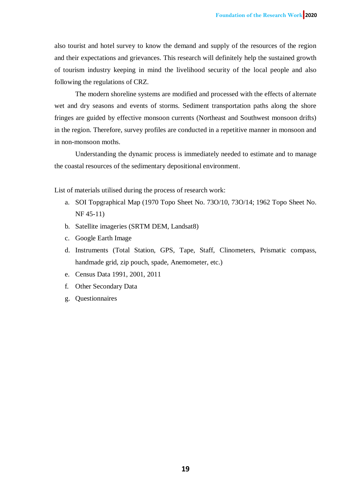also tourist and hotel survey to know the demand and supply of the resources of the region and their expectations and grievances. This research will definitely help the sustained growth of tourism industry keeping in mind the livelihood security of the local people and also following the regulations of CRZ.

The modern shoreline systems are modified and processed with the effects of alternate wet and dry seasons and events of storms. Sediment transportation paths along the shore fringes are guided by effective monsoon currents (Northeast and Southwest monsoon drifts) in the region. Therefore, survey profiles are conducted in a repetitive manner in monsoon and in non-monsoon moths.

Understanding the dynamic process is immediately needed to estimate and to manage the coastal resources of the sedimentary depositional environment.

List of materials utilised during the process of research work:

- a. SOI Topgraphical Map (1970 Topo Sheet No. 73O/10, 73O/14; 1962 Topo Sheet No. NF 45-11)
- b. Satellite imageries (SRTM DEM, Landsat8)
- c. Google Earth Image
- d. Instruments (Total Station, GPS, Tape, Staff, Clinometers, Prismatic compass, handmade grid, zip pouch, spade, Anemometer, etc.)
- e. Census Data 1991, 2001, 2011
- f. Other Secondary Data
- g. Questionnaires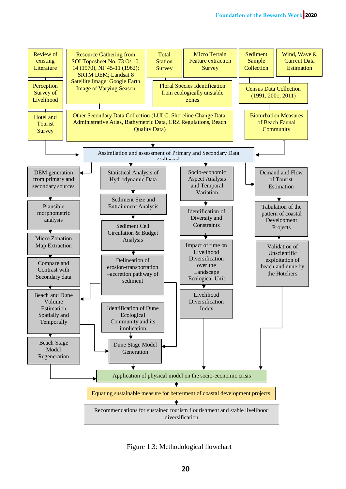

Figure 1.3: Methodological flowchart